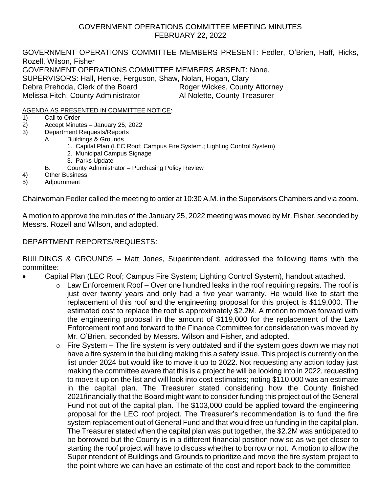## GOVERNMENT OPERATIONS COMMITTEE MEETING MINUTES FEBRUARY 22, 2022

GOVERNMENT OPERATIONS COMMITTEE MEMBERS PRESENT: Fedler, O'Brien, Haff, Hicks, Rozell, Wilson, Fisher GOVERNMENT OPERATIONS COMMITTEE MEMBERS ABSENT: None. SUPERVISORS: Hall, Henke, Ferguson, Shaw, Nolan, Hogan, Clary Debra Prehoda, Clerk of the Board Roger Wickes, County Attorney Melissa Fitch, County Administrator **Al Nolette, County Treasurer** 

AGENDA AS PRESENTED IN COMMITTEE NOTICE:

- 1) Call to Order
- 2) Accept Minutes January 25, 2022
- 3) Department Requests/Reports
	- A. Buildings & Grounds
		- 1. Capital Plan (LEC Roof; Campus Fire System.; Lighting Control System)
		- 2. Municipal Campus Signage
		- 3. Parks Update
		- B. County Administrator Purchasing Policy Review
- 4) Other Business
- 5) Adjournment

Chairwoman Fedler called the meeting to order at 10:30 A.M. in the Supervisors Chambers and via zoom.

A motion to approve the minutes of the January 25, 2022 meeting was moved by Mr. Fisher, seconded by Messrs. Rozell and Wilson, and adopted.

# DEPARTMENT REPORTS/REQUESTS:

BUILDINGS & GROUNDS – Matt Jones, Superintendent, addressed the following items with the committee:

- Capital Plan (LEC Roof; Campus Fire System; Lighting Control System), handout attached.
	- $\circ$  Law Enforcement Roof Over one hundred leaks in the roof requiring repairs. The roof is just over twenty years and only had a five year warranty. He would like to start the replacement of this roof and the engineering proposal for this project is \$119,000. The estimated cost to replace the roof is approximately \$2.2M. A motion to move forward with the engineering proposal in the amount of \$119,000 for the replacement of the Law Enforcement roof and forward to the Finance Committee for consideration was moved by Mr. O'Brien, seconded by Messrs. Wilson and Fisher, and adopted.
	- $\circ$  Fire System The fire system is very outdated and if the system goes down we may not have a fire system in the building making this a safety issue. This project is currently on the list under 2024 but would like to move it up to 2022. Not requesting any action today just making the committee aware that this is a project he will be looking into in 2022, requesting to move it up on the list and will look into cost estimates; noting \$110,000 was an estimate in the capital plan. The Treasurer stated considering how the County finished 2021financially that the Board might want to consider funding this project out of the General Fund not out of the capital plan. The \$103,000 could be applied toward the engineering proposal for the LEC roof project. The Treasurer's recommendation is to fund the fire system replacement out of General Fund and that would free up funding in the capital plan. The Treasurer stated when the capital plan was put together, the \$2.2M was anticipated to be borrowed but the County is in a different financial position now so as we get closer to starting the roof project will have to discuss whether to borrow or not. A motion to allow the Superintendent of Buildings and Grounds to prioritize and move the fire system project to the point where we can have an estimate of the cost and report back to the committee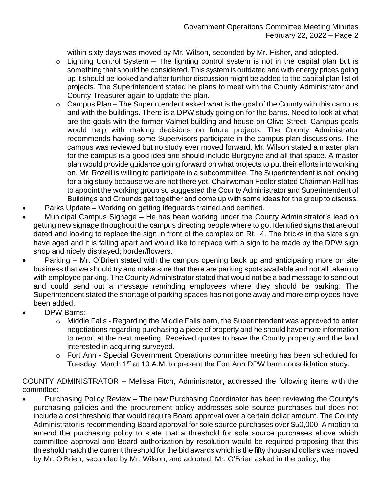within sixty days was moved by Mr. Wilson, seconded by Mr. Fisher, and adopted.

- $\circ$  Lighting Control System The lighting control system is not in the capital plan but is something that should be considered. This system is outdated and with energy prices going up it should be looked and after further discussion might be added to the capital plan list of projects. The Superintendent stated he plans to meet with the County Administrator and County Treasurer again to update the plan.
- $\circ$  Campus Plan The Superintendent asked what is the goal of the County with this campus and with the buildings. There is a DPW study going on for the barns. Need to look at what are the goals with the former Valmet building and house on Olive Street. Campus goals would help with making decisions on future projects. The County Administrator recommends having some Supervisors participate in the campus plan discussions. The campus was reviewed but no study ever moved forward. Mr. Wilson stated a master plan for the campus is a good idea and should include Burgoyne and all that space. A master plan would provide guidance going forward on what projects to put their efforts into working on. Mr. Rozell is willing to participate in a subcommittee. The Superintendent is not looking for a big study because we are not there yet. Chairwoman Fedler stated Chairman Hall has to appoint the working group so suggested the County Administrator and Superintendent of Buildings and Grounds get together and come up with some ideas for the group to discuss.
- Parks Update Working on getting lifeguards trained and certified.
- Municipal Campus Signage He has been working under the County Administrator's lead on getting new signage throughout the campus directing people where to go. Identified signs that are out dated and looking to replace the sign in front of the complex on Rt. 4. The bricks in the slate sign have aged and it is falling apart and would like to replace with a sign to be made by the DPW sign shop and nicely displayed; border/flowers.
- Parking Mr. O'Brien stated with the campus opening back up and anticipating more on site business that we should try and make sure that there are parking spots available and not all taken up with employee parking. The County Administrator stated that would not be a bad message to send out and could send out a message reminding employees where they should be parking. The Superintendent stated the shortage of parking spaces has not gone away and more employees have been added.
- DPW Barns:
	- o Middle Falls Regarding the Middle Falls barn, the Superintendent was approved to enter negotiations regarding purchasing a piece of property and he should have more information to report at the next meeting. Received quotes to have the County property and the land interested in acquiring surveyed.
	- o Fort Ann Special Government Operations committee meeting has been scheduled for Tuesday, March 1<sup>st</sup> at 10 A.M. to present the Fort Ann DPW barn consolidation study.

COUNTY ADMINISTRATOR – Melissa Fitch, Administrator, addressed the following items with the committee:

• Purchasing Policy Review – The new Purchasing Coordinator has been reviewing the County's purchasing policies and the procurement policy addresses sole source purchases but does not include a cost threshold that would require Board approval over a certain dollar amount. The County Administrator is recommending Board approval for sole source purchases over \$50,000. A motion to amend the purchasing policy to state that a threshold for sole source purchases above which committee approval and Board authorization by resolution would be required proposing that this threshold match the current threshold for the bid awards which is the fifty thousand dollars was moved by Mr. O'Brien, seconded by Mr. Wilson, and adopted. Mr. O'Brien asked in the policy, the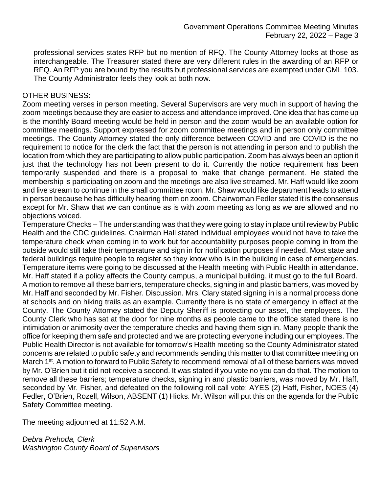professional services states RFP but no mention of RFQ. The County Attorney looks at those as interchangeable. The Treasurer stated there are very different rules in the awarding of an RFP or RFQ. An RFP you are bound by the results but professional services are exempted under GML 103. The County Administrator feels they look at both now.

### OTHER BUSINESS:

Zoom meeting verses in person meeting. Several Supervisors are very much in support of having the zoom meetings because they are easier to access and attendance improved. One idea that has come up is the monthly Board meeting would be held in person and the zoom would be an available option for committee meetings. Support expressed for zoom committee meetings and in person only committee meetings. The County Attorney stated the only difference between COVID and pre-COVID is the no requirement to notice for the clerk the fact that the person is not attending in person and to publish the location from which they are participating to allow public participation. Zoom has always been an option it just that the technology has not been present to do it. Currently the notice requirement has been temporarily suspended and there is a proposal to make that change permanent. He stated the membership is participating on zoom and the meetings are also live streamed. Mr. Haff would like zoom and live stream to continue in the small committee room. Mr. Shaw would like department heads to attend in person because he has difficulty hearing them on zoom. Chairwoman Fedler stated it is the consensus except for Mr. Shaw that we can continue as is with zoom meeting as long as we are allowed and no objections voiced.

Temperature Checks – The understanding was that they were going to stay in place until review by Public Health and the CDC guidelines. Chairman Hall stated individual employees would not have to take the temperature check when coming in to work but for accountability purposes people coming in from the outside would still take their temperature and sign in for notification purposes if needed. Most state and federal buildings require people to register so they know who is in the building in case of emergencies. Temperature items were going to be discussed at the Health meeting with Public Health in attendance. Mr. Haff stated if a policy affects the County campus, a municipal building, it must go to the full Board. A motion to remove all these barriers, temperature checks, signing in and plastic barriers, was moved by Mr. Haff and seconded by Mr. Fisher. Discussion. Mrs. Clary stated signing in is a normal process done at schools and on hiking trails as an example. Currently there is no state of emergency in effect at the County. The County Attorney stated the Deputy Sheriff is protecting our asset, the employees. The County Clerk who has sat at the door for nine months as people came to the office stated there is no intimidation or animosity over the temperature checks and having them sign in. Many people thank the office for keeping them safe and protected and we are protecting everyone including our employees. The Public Health Director is not available for tomorrow's Health meeting so the County Administrator stated concerns are related to public safety and recommends sending this matter to that committee meeting on March 1<sup>st</sup>. A motion to forward to Public Safety to recommend removal of all of these barriers was moved by Mr. O'Brien but it did not receive a second. It was stated if you vote no you can do that. The motion to remove all these barriers; temperature checks, signing in and plastic barriers, was moved by Mr. Haff, seconded by Mr. Fisher, and defeated on the following roll call vote: AYES (2) Haff, Fisher, NOES (4) Fedler, O'Brien, Rozell, Wilson, ABSENT (1) Hicks. Mr. Wilson will put this on the agenda for the Public Safety Committee meeting.

The meeting adjourned at 11:52 A.M.

*Debra Prehoda, Clerk Washington County Board of Supervisors*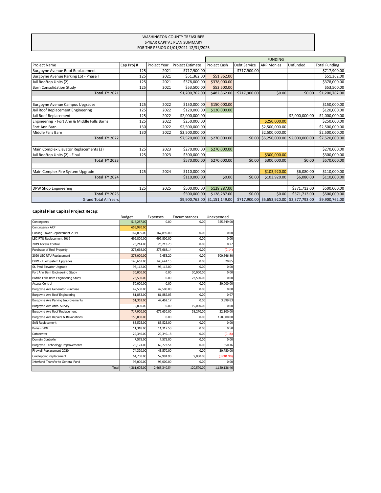#### WASHINGTON COUNTY TREASURER 5-YEAR CAPITAL PLAN SUMMARY FOR THE PERIOD 01/01/2021-12/31/2025

|                                             |           |              |                         | <b>FUNDING</b>                |                     |                   |                               |                      |
|---------------------------------------------|-----------|--------------|-------------------------|-------------------------------|---------------------|-------------------|-------------------------------|----------------------|
| <b>Project Name</b>                         | Cap Proj# | Project Year | <b>Project Estimate</b> | <b>Project Cash</b>           | <b>Debt Service</b> | <b>ARP Monies</b> | Unfunded                      | <b>Total Funding</b> |
| Burgoyne Avenue Roof Replacement            | 125       | 2021         | \$717,900.00            |                               | \$717,900.00        |                   |                               | \$717,900.00         |
| Burgoyne Avenue Parking Lot - Phase I       | 125       | 2021         | \$51,362.00             | \$51,362.00                   |                     |                   |                               | \$51,362.00          |
| Jail Rooftop Units (2)                      | 125       | 2021         | \$378,000.00            | \$378,000.00                  |                     |                   |                               | \$378,000.00         |
| <b>Barn Consolidation Study</b>             | 125       | 2021         | \$53,500.00             | \$53,500.00                   |                     |                   |                               | \$53,500.00          |
| Total FY 2021                               |           |              | \$1,200,762.00          | \$482,862.00                  | \$717,900.00        | \$0.00            | \$0.00                        | \$1,200,762.00       |
| <b>Burgoyne Avenue Campus Upgrades</b>      | 125       | 2022         | \$150,000.00            | \$150,000.00                  |                     |                   |                               | \$150,000.00         |
| Jail Roof Replacement Engineering           | 125       | 2022         | \$120,000.00            | \$120,000.00                  |                     |                   |                               | \$120,000.00         |
| Jail Roof Replacement                       | 125       | 2022         | \$2,000,000.00          |                               |                     |                   | \$2,000,000.00                | \$2,000,000.00       |
| Engineering - Fort Ann & Middle Falls Barns | 125       | 2022         | \$250,000.00            |                               |                     | \$250,000.00      |                               | \$250,000.00         |
| Fort Ann Barn                               | 130       | 2022         | \$2,500,000.00          |                               |                     | \$2,500,000.00    |                               | \$2,500,000.00       |
| Middle Falls Barn                           | 130       | 2022         | \$2,500,000.00          |                               |                     | \$2,500,000.00    |                               | \$2,500,000.00       |
| Total FY 2022                               |           |              | \$7,520,000.00          | \$270,000.00                  | \$0.00              |                   | \$5,250,000.00 \$2,000,000.00 | \$7,520,000.00       |
| Main Complex Elevator Replacements (3)      | 125       | 2023         | \$270,000.00            | \$270,000.00                  |                     |                   |                               | \$270,000.00         |
| Jail Rooftop Units (2) - Final              | 125       | 2023         | \$300,000.00            |                               |                     | \$300,000.00      |                               | \$300,000.00         |
| Total FY 2023                               |           |              | \$570,000.00            | \$270,000.00                  | \$0.00              | \$300,000.00      | \$0.00                        | \$570,000.00         |
| Main Complex Fire System Upgrade            | 125       | 2024         | \$110,000.00            |                               |                     | \$103,920.00      | \$6,080.00                    | \$110,000.00         |
| Total FY 2024                               |           |              | \$110,000.00            | \$0.00                        | \$0.00              | \$103,920.00      | \$6,080.00                    | \$110,000.00         |
|                                             |           |              |                         |                               |                     |                   |                               |                      |
| DPW Shop Engineering                        | 125       | 2025         | \$500,000.00            | \$128,287.00                  |                     |                   | \$371,713.00                  | \$500,000.00         |
| Total FY 2025                               |           |              | \$500,000.00            | \$128,287.00                  | \$0.00              | \$0.00            | \$371,713.00                  | \$500,000.00         |
| <b>Grand Total All Years</b>                |           |              |                         | \$9,900,762.00 \$1,151,149.00 | \$717.900.00        | \$5,653,920.00    | \$2,377,793.00                | \$9,900,762.00       |

### **Capital Plan Capital Project Recap:**

|                                         | <b>Budget</b> | Expenses     | Encumbrances | Unexpended   |
|-----------------------------------------|---------------|--------------|--------------|--------------|
| Contingency                             | 518,287.00    | 0.00         | 0.00         | 355,549.00   |
| <b>Contingency ARP</b>                  | 653,920.00    |              |              |              |
| Cooling Tower Replacement 2019          | 167,895.00    | 167,895.00   | 0.00         | 0.00         |
| LEC RTU Replacement 2019                | 499,800.00    | 499,800.00   | 0.00         | 0.00         |
| 2019 Access Control                     | 26,214.00     | 26,213.73    | 0.00         | 0.27         |
| Purchase of Real Property               | 275,668.00    | 275,668.14   | 0.00         | (0.14)       |
| 2020 LEC RTU Replacement                | 378,000.00    | 9,453.20     | 0.00         | 500,546.80   |
| DPW - Fuel System Upgrades              | 145,662.00    | 145,641.15   | 0.00         | 20.85        |
| St. Paul Elevator Upgrade               | 93,112.00     | 93,112.00    | 0.00         | 0.00         |
| Fort Ann Barn Engineering Study         | 30,000.00     | 0.00         | 30,000.00    | 0.00         |
| Middle Falls Barn Engineering Study     | 23,500.00     | 0.00         | 23,500.00    | 0.00         |
| <b>Access Control</b>                   | 50,000.00     | 0.00         | 0.00         | 50,000.00    |
| Burgoyne Ave Generator Purchase         | 42,500.00     | 42,500.00    | 0.00         | 0.00         |
| Burgoyne Ave Roof Engineering           | 81,883.00     | 81,882.03    | 0.00         | 0.97         |
| Burgoyne Ave Parking Improvements       | 51,362.00     | 47,462.17    | 0.00         | 3,899.83     |
| Burgoyne Ave Arch. Survey               | 19,000.00     | 0.00         | 19,000.00    | 0.00         |
| Burgoyne Ave Roof Replacement           | 717,900.00    | 679,630.00   | 38,270.00    | 32,100.00    |
| Burgoyne Ave Repairs & Revonations      | 150,000.00    | 0.00         | 0.00         | 150,000.00   |
| <b>SAN Replacement</b>                  | 83,525.00     | 83,525.00    | 0.00         | 0.00         |
| Pulse - VPN                             | 11,318.00     | 11,317.50    | 0.00         | 0.50         |
| Datacenter                              | 29,340.00     | 29,340.18    | 0.00         | (0.18)       |
| Domain Controller                       | 7,575.00      | 7,575.00     | 0.00         | 0.00         |
| <b>Burgoyne Technology Improvements</b> | 70,124.00     | 69,773.54    | 0.00         | 350.46       |
| Firewall Replacement 2020               | 74,320.00     | 43,570.00    | 0.00         | 30,750.00    |
| Cradlepoint Replacement                 | 64,700.00     | 57,981.90    | 9,800.00     | (3,081.90)   |
| Interfund Transfer to General Fund      | 96,000.00     | 96,000.00    | 0.00         | 0.00         |
| Total                                   | 4,361,605.00  | 2,468,340.54 | 120,570.00   | 1,120,136.46 |